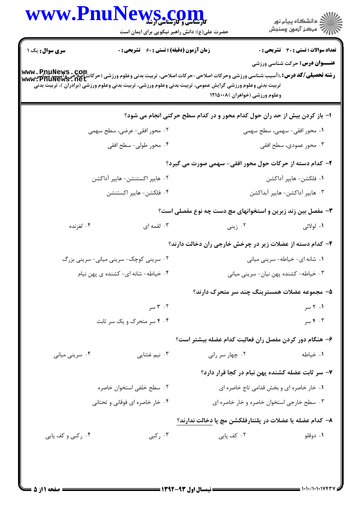|                                 | <b>VS .COM</b><br>حضرت علی(ع): دانش راهبر نیکویی برای ایمان است                                                                                                                                                                                                                   |                                                                           | ≦ دانشڪاه پيام نور<br>7 مرڪز آزمون وسنڊش     |  |
|---------------------------------|-----------------------------------------------------------------------------------------------------------------------------------------------------------------------------------------------------------------------------------------------------------------------------------|---------------------------------------------------------------------------|----------------------------------------------|--|
| سری سوال: یک ۱                  | <b>زمان آزمون (دقیقه) : تستی : 60 ٪ تشریحی : 0</b>                                                                                                                                                                                                                                |                                                                           | <b>تعداد سوالات : تستی : 30 ٪ تشریحی : 0</b> |  |
|                                 | <b>رشته تحصیلی/کد درس:</b> ،(آسیب شناسی ورزشی وحرکات اصلاحی-حرکات اصلاحی، تربیت بدنی وعلوم ورزشی (حرکات اصلاحی واسیپ<br>سند www: PnuNews ، net<br>www: PnuNews ، net<br>تربیت بدنی وعلوم ورزشی گرایش عمومی، تربیت بدنی وعلوم ورزشی، تربیت بدنی وعلوم ورزشی (برادران )، تربیت بدنی | وعلوم ورزشي (خواهران )١٢١٥٠٠٨                                             | <b>عنـــوان درس:</b> حرکت شناسی ورزشی        |  |
|                                 |                                                                                                                                                                                                                                                                                   | ا– باز کردن بیش از حد ران حول کدام محور و در کدام سطح حرکتی انجام می شود؟ |                                              |  |
|                                 | ۰۲ محور افقی- عرضی، سطح سهمی                                                                                                                                                                                                                                                      |                                                                           | ۰۱ محور افقی- سهمی، سطح سهمی                 |  |
|                                 | ۰۴ محور طولی- سطح افقی                                                                                                                                                                                                                                                            |                                                                           | ۰۳ محور عمودی، سطح افقی                      |  |
|                                 |                                                                                                                                                                                                                                                                                   | ۲- کدام دسته از حرکات حول محور افقی- سهمی صورت می گیرد؟                   |                                              |  |
| ۰۲ هايپر اکستنشن- هايپر آداکشن  |                                                                                                                                                                                                                                                                                   | ٠١ فلكشن- هايپر آداكشن                                                    |                                              |  |
|                                 | ۰۴ فلکشن- هايپر اکستنشن                                                                                                                                                                                                                                                           |                                                                           | ۰۳ هايپر آداكشن- هايپر آبداكشن               |  |
|                                 |                                                                                                                                                                                                                                                                                   | ۳- مفصل بین زند زبرین و استخوانهای مچ دست چه نوع مفصلی است؟               |                                              |  |
| ۰۴ لغزنده                       | ۰۳ لقمه ای                                                                                                                                                                                                                                                                        | ۰۲ زینی                                                                   | ۱. لولائی                                    |  |
|                                 |                                                                                                                                                                                                                                                                                   | ۴- کدام دسته از عضلات زیر در چرخش خارجی ران دخالت دارند؟                  |                                              |  |
|                                 | ۰۲ سرینی کوچک- سرینی میانی- سرینی بزرگ                                                                                                                                                                                                                                            |                                                                           | ۰۱ شانه ای- خیاطه- سرینی میانی               |  |
|                                 | ۰۴ خیاطه- شانه ای- کشنده ی پهن نیام                                                                                                                                                                                                                                               |                                                                           | ۰۳ خیاطه- کشنده پهن نیان- سرینی میانی        |  |
|                                 |                                                                                                                                                                                                                                                                                   | ۵– مجموعه عضلات همسترينگ چند سر متحرک دارند؟                              |                                              |  |
|                                 | ۰۲ سر                                                                                                                                                                                                                                                                             |                                                                           | ۰۱ ۲ سر                                      |  |
|                                 | ۰۴ ۴ سر متحرک و یک سر ثابت                                                                                                                                                                                                                                                        |                                                                           | ۰۳ مسر                                       |  |
|                                 |                                                                                                                                                                                                                                                                                   | ۶– هنگام دور کردن مفصل ران فعالیت کدام عضله بیشتر است؟                    |                                              |  |
| ۰۴ سرینی میانی                  | ۰۳ نیم غشایی                                                                                                                                                                                                                                                                      | ۰۲ چهار سر رانی                                                           | ٠١. خياطه                                    |  |
|                                 |                                                                                                                                                                                                                                                                                   | ۷- سر ثابت عضله کشنده پهن نیام در کجا قرار دارد؟                          |                                              |  |
|                                 | ۰۲ سطح خلفی استخوان خاصره                                                                                                                                                                                                                                                         | ٠١ خار خاصره اي و بخش قدامي تاج خاصره اي                                  |                                              |  |
| ۰۴ خار خاصره ای فوقانی و تحتانی |                                                                                                                                                                                                                                                                                   | ۰۳ سطح خارجی استخوان خاصره و خار خاصره ای                                 |                                              |  |
|                                 |                                                                                                                                                                                                                                                                                   | ٨− كدام عضله يا عضلات در پلنتارفلكشن مچ پا دخالت ندارند؟                  |                                              |  |
| ۰۴ رکبی و کف پایی               | ۰۳ رکبی                                                                                                                                                                                                                                                                           | ۰۲ کف پایی                                                                | ۰۱ دوقلو                                     |  |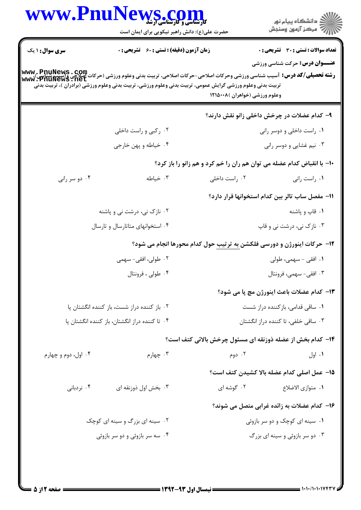|                                | WWW.PnuNews.com<br>حضرت علی(ع): دانش راهبر نیکویی برای ایمان است                                                                                                                                                                                                                                                 |                                                                                | ِ<br>∭ دانشڪاه پيام نور<br>∭ مرڪز آزمون وسنڊش                                         |  |
|--------------------------------|------------------------------------------------------------------------------------------------------------------------------------------------------------------------------------------------------------------------------------------------------------------------------------------------------------------|--------------------------------------------------------------------------------|---------------------------------------------------------------------------------------|--|
| <b>سری سوال : ۱ یک</b>         | <b>زمان آزمون (دقیقه) : تستی : 60 ٪ تشریحی : 0</b><br><b>رشته تحصيلي/كد درس:</b> آسيب شناسي ورزشي وحركات اصلاحي-حركات اصلاحي، تربيت بدني وعلوم ورزشي (حركات أصلاحي Gmul Gews<br>Www . PnuNews . net<br>تربیت بدنی وعلوم ورزشی گرایش عمومی، تربیت بدنی وعلوم ورزشی، تربیت بدنی وعلوم ورزشی (برادران )، تربیت بدنی | وعلوم ورزشي (خواهران )١٢١٥٠٠٨                                                  | <b>تعداد سوالات : تستي : 30 ٪ تشريحي : 0</b><br><b>عنـــوان درس:</b> حرکت شناسی ورزشی |  |
|                                |                                                                                                                                                                                                                                                                                                                  |                                                                                | ۹- کدام عضلات در چرخش داخلی زانو نقش دارند؟                                           |  |
|                                | ۰۲ رکبی و راست داخلی                                                                                                                                                                                                                                                                                             |                                                                                | ۰۱ راست داخلی و دوسر رانی                                                             |  |
|                                | ۰۴ خیاطه و پهن خارجي                                                                                                                                                                                                                                                                                             |                                                                                | ۰۳ نیم غشایی و دوسر رانی                                                              |  |
|                                |                                                                                                                                                                                                                                                                                                                  | ∙۱− با انقباض کدام عضله می توان هم ران را خم کرد و هم زانو را باز کرد؟         |                                                                                       |  |
| ۰۴ دو سر رانی                  | ۰۳ خیاطه                                                                                                                                                                                                                                                                                                         | ۰۲ راست داخلی                                                                  | ۰۱ راست رانی                                                                          |  |
|                                |                                                                                                                                                                                                                                                                                                                  |                                                                                | 11– مفصل ساب تالر بین کدام استخوانها قرار دارد؟                                       |  |
|                                | ۰۲ نازک نی، درشت نی و پاشنه                                                                                                                                                                                                                                                                                      | ۰۱ قاپ و پاشنه                                                                 |                                                                                       |  |
|                                | ۰۴ استخوانهای متاتارسال و تارسال                                                                                                                                                                                                                                                                                 |                                                                                | ۰۳ نازک نی، درشت نی و قاپ                                                             |  |
|                                |                                                                                                                                                                                                                                                                                                                  | <b>۱۲</b> - حرکات اینورژن و دورسی فلکشن به ترتیب حول کدام محورها انجام می شود؟ |                                                                                       |  |
|                                | ۲. طولی، افقی- سهمی                                                                                                                                                                                                                                                                                              | ۰۱ افقی - سهمی، طولی                                                           |                                                                                       |  |
|                                | ۰۴ طولی ، فرونتال                                                                                                                                                                                                                                                                                                | ۰۳ افقی- سهمی، فرونتال                                                         |                                                                                       |  |
|                                |                                                                                                                                                                                                                                                                                                                  |                                                                                | 1۳– كدام عضلات باعث اينورژن مچ پا مي شود؟                                             |  |
|                                | ۰۲ باز کننده دراز شست، باز کننده انگشتان پا                                                                                                                                                                                                                                                                      | ٠١ ساقى قدامى، بازكننده دراز شست                                               |                                                                                       |  |
|                                | ۰۴ تا کننده دراز انگشتان، باز کننده انگشتان پا                                                                                                                                                                                                                                                                   |                                                                                | ۰۳ ساقی خلفی، تا کننده دراز انگشتان                                                   |  |
|                                |                                                                                                                                                                                                                                                                                                                  | ۱۴- کدام بخش از عضله ذوزنقه ای مسئول چرخش بالائی کتف است؟                      |                                                                                       |  |
| ۰۴ اول، دوم و چهارم            | ۰۳ چهارم                                                                                                                                                                                                                                                                                                         | ۰۲ دوم                                                                         | ۰۱ اول                                                                                |  |
|                                |                                                                                                                                                                                                                                                                                                                  |                                                                                | 1۵– عمل اصلی کدام عضله بالا کشیدن کتف است؟                                            |  |
| ۰۴ نردبانی                     | ۰۳ بخش اول ذوزنقه ای                                                                                                                                                                                                                                                                                             | ۰۲ گوشه ای                                                                     | ٠١. متوازى الاضلاع                                                                    |  |
|                                |                                                                                                                                                                                                                                                                                                                  |                                                                                | ۱۶– کدام عضلات به زائده غرابی متصل می شوند؟                                           |  |
|                                | ۰۲ سینه ای بزرگ و سینه ای کوچک                                                                                                                                                                                                                                                                                   |                                                                                | ۰۱ سینه ای کوچک و دو سر بازوئی                                                        |  |
| ۰۴ سه سر بازوئی و دو سر بازوئی |                                                                                                                                                                                                                                                                                                                  |                                                                                | ۰۳ دو سر بازوئی و سینه ای بزرگ                                                        |  |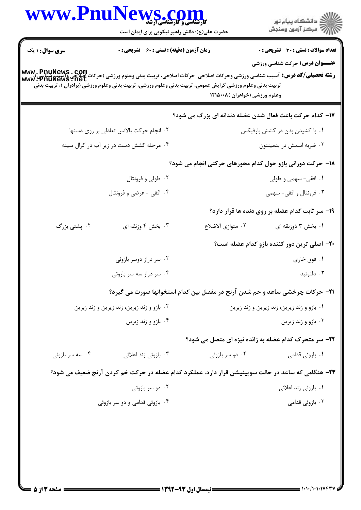|                                            | حضرت علی(ع): دانش راهبر نیکویی برای ایمان است      | ڪ دانشڪاه پيا <sub>م</sub> نور<br>۾ سرڪز آزمون وسنڊش                                                                                                                                                                                                                                                                                    |  |  |
|--------------------------------------------|----------------------------------------------------|-----------------------------------------------------------------------------------------------------------------------------------------------------------------------------------------------------------------------------------------------------------------------------------------------------------------------------------------|--|--|
| <b>سری سوال : ۱ یک</b>                     | <b>زمان آزمون (دقیقه) : تستی : 60 ٪ تشریحی : 0</b> | <b>تعداد سوالات : تستی : 30 ٪ تشریحی : 0</b>                                                                                                                                                                                                                                                                                            |  |  |
|                                            |                                                    | <b>عنـــوان درس:</b> حرکت شناسی ورزشی<br><b>رشته تحصیلی/کد درس:</b> آسیب شناسی ورزشی وحرکات اصلاحی-حرکات اصلاحی، تربیت بدنی وعلوم ورزشی (حرکات اصلاحی واسیپ شناسی)<br>www . PnuNews . net<br>تربیت بدنی وعلوم ورزشی گرایش عمومی، تربیت بدنی وعلوم ورزشی، تربیت بدنی وعلوم ورزشی (برادران )، تربیت بدنی<br>وعلوم ورزشي (خواهران )١٢١٥٠٠٨ |  |  |
|                                            |                                                    | <b>۱۷- کدام حرکت باعث فعال شدن عضله دندانه ای بزرگ می شود؟</b>                                                                                                                                                                                                                                                                          |  |  |
|                                            | ٠٢ انجام حركت بالانس تعادلى بر روى دستها           | ۰۱ با کشیدن بدن در کشش بارفیکس                                                                                                                                                                                                                                                                                                          |  |  |
|                                            | ۰۴ مرحله کشش دست در زیر آب در کرال سینه            | ۰۳ ضربه اسمش در بدمینتون                                                                                                                                                                                                                                                                                                                |  |  |
|                                            |                                                    | ۱۸– حرکت دورانی بازو حول کدام محورهای حرکتی انجام می شود؟                                                                                                                                                                                                                                                                               |  |  |
|                                            | ۰۲ طولی و فرونتال                                  | ۰۱ افقی- سهمی و طولی                                                                                                                                                                                                                                                                                                                    |  |  |
|                                            | ۰۴ افقی - عرضی و فرونتال                           | ۰۳ فرونتال و افقی- سهمی                                                                                                                                                                                                                                                                                                                 |  |  |
|                                            |                                                    | ۱۹- سر ثابت کدام عضله بر روی دنده ها قرار دارد؟                                                                                                                                                                                                                                                                                         |  |  |
| ۰۴ پشتی بزرگ                               | ۰۳ بخش ۴ وزنقه ای                                  | ٠٢ متوازى الاضلاع<br>۰۱ بخش ۳ ذوزنقه ای                                                                                                                                                                                                                                                                                                 |  |  |
|                                            |                                                    | ۲۰– اصلی ترین دور کننده بازو کدام عضله است؟                                                                                                                                                                                                                                                                                             |  |  |
|                                            | ۰۲ سر دراز دوسر بازوئی                             | ۰۱ فوق خاری                                                                                                                                                                                                                                                                                                                             |  |  |
|                                            | ۰۴ سر دراز سه سر بازوئی                            | ۰۳ دلتوئید                                                                                                                                                                                                                                                                                                                              |  |  |
|                                            |                                                    | <b>۲۱</b> - حرکات چرخشی ساعد و خم شدن آرنج در مفصل بین کدام استخوانها صورت می گیرد؟                                                                                                                                                                                                                                                     |  |  |
| ۰۲ بازو و زند زبرین، زند زیرین و زند زبرین |                                                    | ۰۱ بازو و زند زیرین، زند زیرین و زند زبرین                                                                                                                                                                                                                                                                                              |  |  |
|                                            | ۰۴ بازو و زند زبرین                                | ۰۳ بازو و زند زیرین                                                                                                                                                                                                                                                                                                                     |  |  |
|                                            |                                                    | <b>32- سر متحرک کدام عضله به زائده نیزه ای متصل می شود؟</b>                                                                                                                                                                                                                                                                             |  |  |
| ۰۴ سه سر بازوئی                            | ۰۳ بازوئی زند اعلائی                               | ۰۲ دو سر بازوئی<br>۰۱ بازوئ <sub>ی</sub> قدامی                                                                                                                                                                                                                                                                                          |  |  |
|                                            |                                                    | ۲۳- هنگامی که ساعد در حالت سوپینیشن قرار دارد، عملکرد کدام عضله در حرکت خم کردن آرنج ضعیف می شود؟                                                                                                                                                                                                                                       |  |  |
|                                            | ۰۲ دو سر بازوئی                                    | ۰۱ بازوئی زند اعلائی                                                                                                                                                                                                                                                                                                                    |  |  |
|                                            | ۰۴ بازوئی قدامی و دو سر بازوئی                     | ۰۳ بازوئی قدامی                                                                                                                                                                                                                                                                                                                         |  |  |
|                                            |                                                    |                                                                                                                                                                                                                                                                                                                                         |  |  |
|                                            |                                                    |                                                                                                                                                                                                                                                                                                                                         |  |  |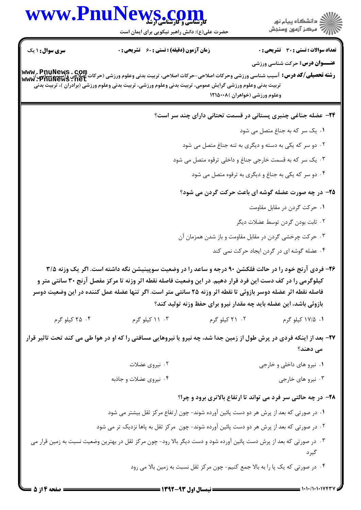